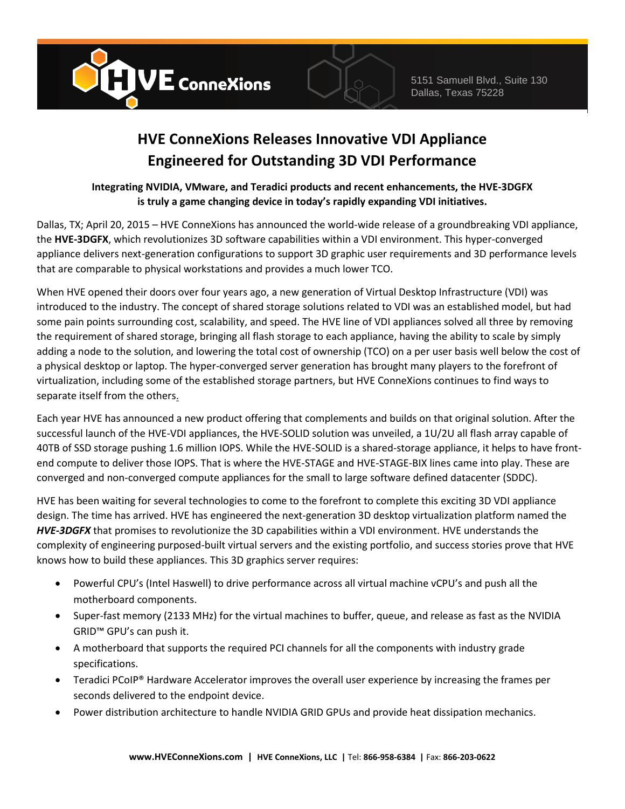



## **HVE ConneXions Releases Innovative VDI Appliance Engineered for Outstanding 3D VDI Performance**

## **Integrating NVIDIA, VMware, and Teradici products and recent enhancements, the HVE-3DGFX is truly a game changing device in today's rapidly expanding VDI initiatives.**

Dallas, TX; April 20, 2015 – HVE ConneXions has announced the world-wide release of a groundbreaking VDI appliance, the **HVE-3DGFX**, which revolutionizes 3D software capabilities within a VDI environment. This hyper-converged appliance delivers next-generation configurations to support 3D graphic user requirements and 3D performance levels that are comparable to physical workstations and provides a much lower TCO.

When HVE opened their doors over four years ago, a new generation of Virtual Desktop Infrastructure (VDI) was introduced to the industry. The concept of shared storage solutions related to VDI was an established model, but had some pain points surrounding cost, scalability, and speed. The HVE line of VDI appliances solved all three by removing the requirement of shared storage, bringing all flash storage to each appliance, having the ability to scale by simply adding a node to the solution, and lowering the total cost of ownership (TCO) on a per user basis well below the cost of a physical desktop or laptop. The hyper-converged server generation has brought many players to the forefront of virtualization, including some of the established storage partners, but HVE ConneXions continues to find ways to separate itself from the others.

Each year HVE has announced a new product offering that complements and builds on that original solution. After the successful launch of the HVE-VDI appliances, the HVE-SOLID solution was unveiled, a 1U/2U all flash array capable of 40TB of SSD storage pushing 1.6 million IOPS. While the HVE-SOLID is a shared-storage appliance, it helps to have frontend compute to deliver those IOPS. That is where the HVE-STAGE and HVE-STAGE-BIX lines came into play. These are converged and non-converged compute appliances for the small to large software defined datacenter (SDDC).

HVE has been waiting for several technologies to come to the forefront to complete this exciting 3D VDI appliance design. The time has arrived. HVE has engineered the next-generation 3D desktop virtualization platform named the *HVE-3DGFX* that promises to revolutionize the 3D capabilities within a VDI environment. HVE understands the complexity of engineering purposed-built virtual servers and the existing portfolio, and success stories prove that HVE knows how to build these appliances. This 3D graphics server requires:

- Powerful CPU's (Intel Haswell) to drive performance across all virtual machine vCPU's and push all the motherboard components.
- Super-fast memory (2133 MHz) for the virtual machines to buffer, queue, and release as fast as the NVIDIA GRID™ GPU's can push it.
- A motherboard that supports the required PCI channels for all the components with industry grade specifications.
- Teradici PCoIP® Hardware Accelerator improves the overall user experience by increasing the frames per seconds delivered to the endpoint device.
- Power distribution architecture to handle NVIDIA GRID GPUs and provide heat dissipation mechanics.